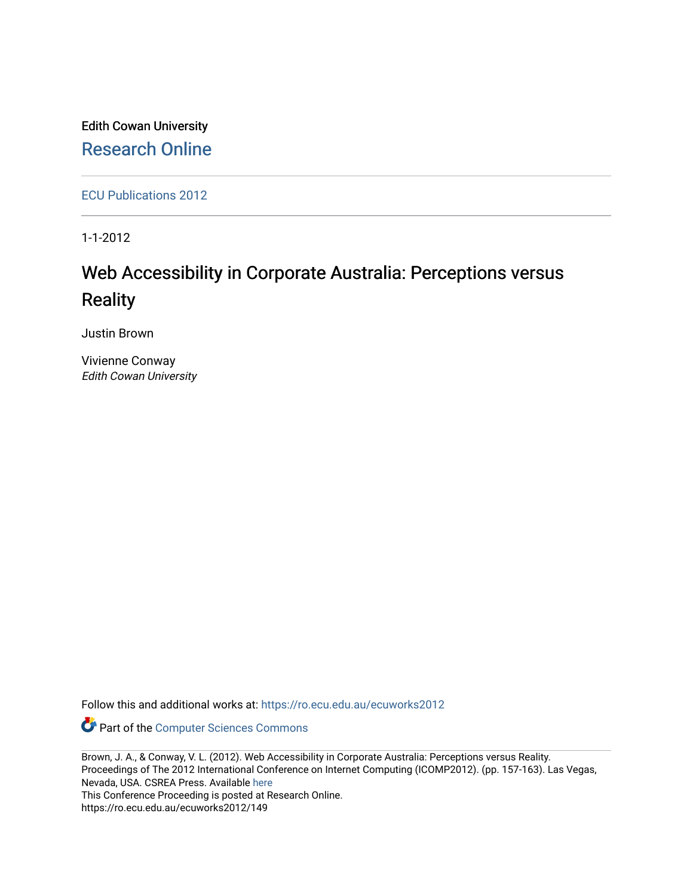Edith Cowan University [Research Online](https://ro.ecu.edu.au/) 

[ECU Publications 2012](https://ro.ecu.edu.au/ecuworks2012)

1-1-2012

# Web Accessibility in Corporate Australia: Perceptions versus **Reality**

Justin Brown

Vivienne Conway Edith Cowan University

Follow this and additional works at: [https://ro.ecu.edu.au/ecuworks2012](https://ro.ecu.edu.au/ecuworks2012?utm_source=ro.ecu.edu.au%2Fecuworks2012%2F149&utm_medium=PDF&utm_campaign=PDFCoverPages) 

Part of the [Computer Sciences Commons](http://network.bepress.com/hgg/discipline/142?utm_source=ro.ecu.edu.au%2Fecuworks2012%2F149&utm_medium=PDF&utm_campaign=PDFCoverPages)

Brown, J. A., & Conway, V. L. (2012). Web Accessibility in Corporate Australia: Perceptions versus Reality. Proceedings of The 2012 International Conference on Internet Computing (ICOMP2012). (pp. 157-163). Las Vegas, Nevada, USA. CSREA Press. Available [here](http://worldcomp-proceedings.com/proc/proc2012/icomp.html) 

This Conference Proceeding is posted at Research Online.

https://ro.ecu.edu.au/ecuworks2012/149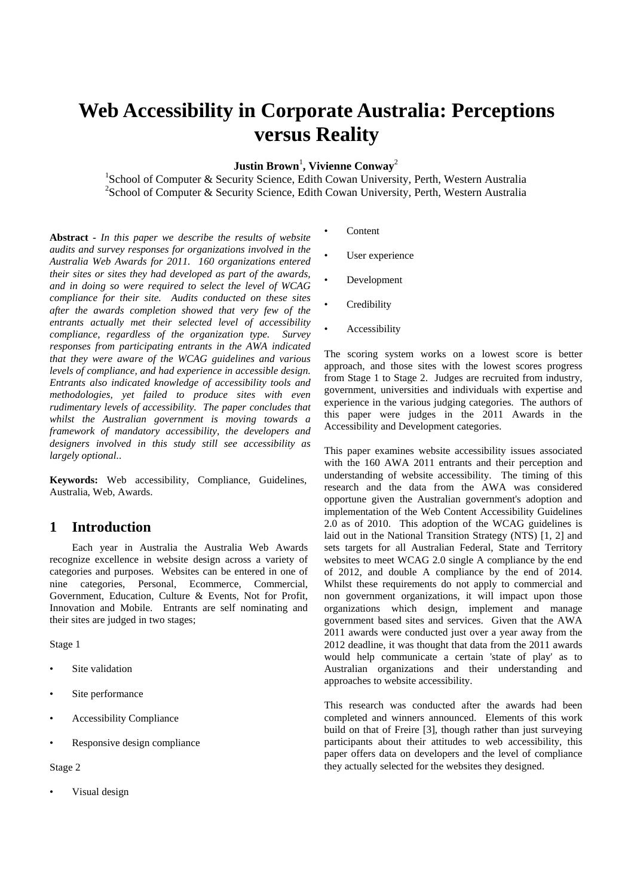# **Web Accessibility in Corporate Australia: Perceptions versus Reality**

 $\mathbf{Justin Brown}^{1}, \mathbf{Vivienne Conway}^{2}$ 

<sup>1</sup>School of Computer & Security Science, Edith Cowan University, Perth, Western Australia <sup>2</sup>School of Computer & Security Science, Edith Cowan University, Perth, Western Australia

**Abstract** *- In this paper we describe the results of website audits and survey responses for organizations involved in the Australia Web Awards for 2011. 160 organizations entered their sites or sites they had developed as part of the awards, and in doing so were required to select the level of WCAG compliance for their site. Audits conducted on these sites after the awards completion showed that very few of the entrants actually met their selected level of accessibility compliance, regardless of the organization type. Survey responses from participating entrants in the AWA indicated that they were aware of the WCAG guidelines and various levels of compliance, and had experience in accessible design. Entrants also indicated knowledge of accessibility tools and methodologies, yet failed to produce sites with even rudimentary levels of accessibility. The paper concludes that whilst the Australian government is moving towards a framework of mandatory accessibility, the developers and designers involved in this study still see accessibility as largely optional.*.

**Keywords:** Web accessibility, Compliance, Guidelines, Australia, Web, Awards.

## **1 Introduction**

 Each year in Australia the Australia Web Awards recognize excellence in website design across a variety of categories and purposes. Websites can be entered in one of nine categories, Personal, Ecommerce, Commercial, Government, Education, Culture & Events, Not for Profit, Innovation and Mobile. Entrants are self nominating and their sites are judged in two stages;

Stage 1

- Site validation
- Site performance
- Accessibility Compliance
- Responsive design compliance

Stage 2

Visual design

- Content
- User experience
- Development
- **Credibility**
- **Accessibility**

The scoring system works on a lowest score is better approach, and those sites with the lowest scores progress from Stage 1 to Stage 2. Judges are recruited from industry, government, universities and individuals with expertise and experience in the various judging categories. The authors of this paper were judges in the 2011 Awards in the Accessibility and Development categories.

This paper examines website accessibility issues associated with the 160 AWA 2011 entrants and their perception and understanding of website accessibility. The timing of this research and the data from the AWA was considered opportune given the Australian government's adoption and implementation of the Web Content Accessibility Guidelines 2.0 as of 2010. This adoption of the WCAG guidelines is laid out in the National Transition Strategy (NTS) [1, 2] and sets targets for all Australian Federal, State and Territory websites to meet WCAG 2.0 single A compliance by the end of 2012, and double A compliance by the end of 2014. Whilst these requirements do not apply to commercial and non government organizations, it will impact upon those organizations which design, implement and manage government based sites and services. Given that the AWA 2011 awards were conducted just over a year away from the 2012 deadline, it was thought that data from the 2011 awards would help communicate a certain 'state of play' as to Australian organizations and their understanding and approaches to website accessibility.

This research was conducted after the awards had been completed and winners announced. Elements of this work build on that of Freire [3], though rather than just surveying participants about their attitudes to web accessibility, this paper offers data on developers and the level of compliance they actually selected for the websites they designed.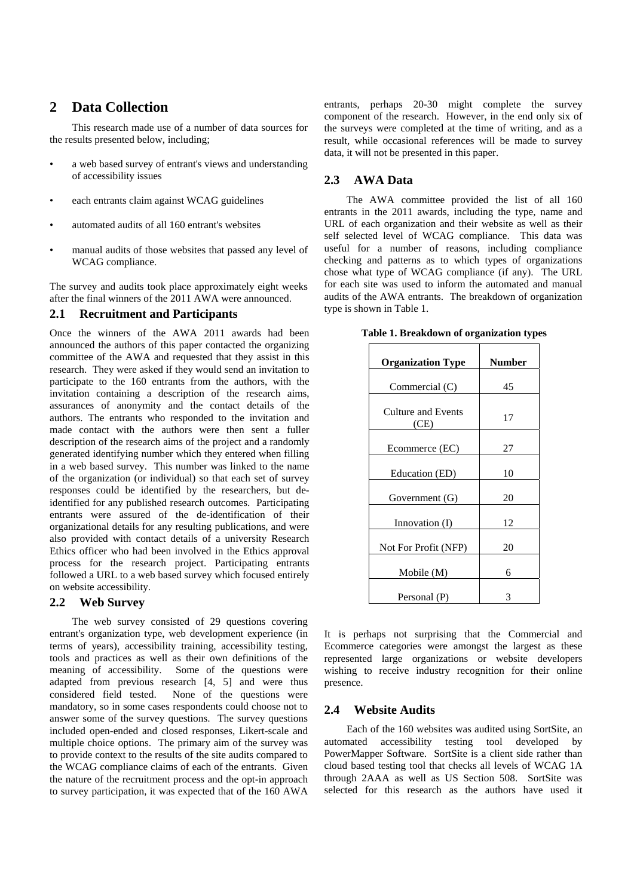## **2 Data Collection**

This research made use of a number of data sources for the results presented below, including;

- a web based survey of entrant's views and understanding of accessibility issues
- each entrants claim against WCAG guidelines
- automated audits of all 160 entrant's websites
- manual audits of those websites that passed any level of WCAG compliance.

The survey and audits took place approximately eight weeks after the final winners of the 2011 AWA were announced.

#### **2.1 Recruitment and Participants**

Once the winners of the AWA 2011 awards had been announced the authors of this paper contacted the organizing committee of the AWA and requested that they assist in this research. They were asked if they would send an invitation to participate to the 160 entrants from the authors, with the invitation containing a description of the research aims, assurances of anonymity and the contact details of the authors. The entrants who responded to the invitation and made contact with the authors were then sent a fuller description of the research aims of the project and a randomly generated identifying number which they entered when filling in a web based survey. This number was linked to the name of the organization (or individual) so that each set of survey responses could be identified by the researchers, but deidentified for any published research outcomes. Participating entrants were assured of the de-identification of their organizational details for any resulting publications, and were also provided with contact details of a university Research Ethics officer who had been involved in the Ethics approval process for the research project. Participating entrants followed a URL to a web based survey which focused entirely on website accessibility.

#### **2.2 Web Survey**

 The web survey consisted of 29 questions covering entrant's organization type, web development experience (in terms of years), accessibility training, accessibility testing, tools and practices as well as their own definitions of the meaning of accessibility. Some of the questions were adapted from previous research [4, 5] and were thus considered field tested. None of the questions were mandatory, so in some cases respondents could choose not to answer some of the survey questions. The survey questions included open-ended and closed responses, Likert-scale and multiple choice options. The primary aim of the survey was to provide context to the results of the site audits compared to the WCAG compliance claims of each of the entrants. Given the nature of the recruitment process and the opt-in approach to survey participation, it was expected that of the 160 AWA

entrants, perhaps 20-30 might complete the survey component of the research. However, in the end only six of the surveys were completed at the time of writing, and as a result, while occasional references will be made to survey data, it will not be presented in this paper.

### **2.3 AWA Data**

 The AWA committee provided the list of all 160 entrants in the 2011 awards, including the type, name and URL of each organization and their website as well as their self selected level of WCAG compliance. This data was useful for a number of reasons, including compliance checking and patterns as to which types of organizations chose what type of WCAG compliance (if any). The URL for each site was used to inform the automated and manual audits of the AWA entrants. The breakdown of organization type is shown in Table 1.

| Table 1. Breakdown of organization types |
|------------------------------------------|
|------------------------------------------|

| <b>Organization Type</b>          | <b>Number</b> |
|-----------------------------------|---------------|
| Commercial (C)                    | 45            |
| <b>Culture and Events</b><br>(CE) | 17            |
| Ecommerce (EC)                    | 27            |
| Education (ED)                    | 10            |
| Government (G)                    | 20            |
| Innovation (I)                    | 12            |
| Not For Profit (NFP)              | 20            |
| Mobile (M)                        | 6             |
| Personal (P)                      |               |

It is perhaps not surprising that the Commercial and Ecommerce categories were amongst the largest as these represented large organizations or website developers wishing to receive industry recognition for their online presence.

### **2.4 Website Audits**

 Each of the 160 websites was audited using SortSite, an automated accessibility testing tool developed by PowerMapper Software. SortSite is a client side rather than cloud based testing tool that checks all levels of WCAG 1A through 2AAA as well as US Section 508. SortSite was selected for this research as the authors have used it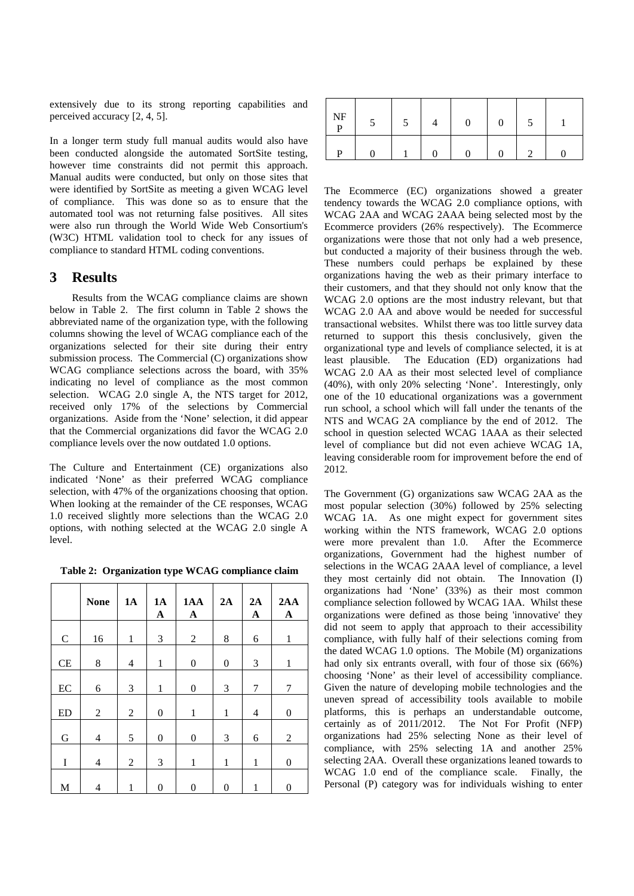extensively due to its strong reporting capabilities and perceived accuracy [2, 4, 5].

In a longer term study full manual audits would also have been conducted alongside the automated SortSite testing, however time constraints did not permit this approach. Manual audits were conducted, but only on those sites that were identified by SortSite as meeting a given WCAG level of compliance. This was done so as to ensure that the automated tool was not returning false positives. All sites were also run through the World Wide Web Consortium's (W3C) HTML validation tool to check for any issues of compliance to standard HTML coding conventions.

## **3 Results**

 Results from the WCAG compliance claims are shown below in Table 2. The first column in Table 2 shows the abbreviated name of the organization type, with the following columns showing the level of WCAG compliance each of the organizations selected for their site during their entry submission process. The Commercial (C) organizations show WCAG compliance selections across the board, with 35% indicating no level of compliance as the most common selection. WCAG 2.0 single A, the NTS target for 2012, received only 17% of the selections by Commercial organizations. Aside from the 'None' selection, it did appear that the Commercial organizations did favor the WCAG 2.0 compliance levels over the now outdated 1.0 options.

The Culture and Entertainment (CE) organizations also indicated 'None' as their preferred WCAG compliance selection, with 47% of the organizations choosing that option. When looking at the remainder of the CE responses, WCAG 1.0 received slightly more selections than the WCAG 2.0 options, with nothing selected at the WCAG 2.0 single A level.

**Table 2: Organization type WCAG compliance claim** 

|             | <b>None</b>    | 1A             | <b>1A</b><br>$\mathbf{A}$ | 1AA<br>$\mathbf{A}$ | 2A               | 2A<br>$\mathbf{A}$ | 2AA<br>$\mathbf A$ |
|-------------|----------------|----------------|---------------------------|---------------------|------------------|--------------------|--------------------|
| ${\bf C}$   | 16             | $\mathbf{1}$   | 3                         | $\overline{c}$      | 8                | 6                  | $\mathbf{1}$       |
| CE          | 8              | $\overline{4}$ | $\mathbf{1}$              | $\boldsymbol{0}$    | $\boldsymbol{0}$ | 3                  | $\mathbf{1}$       |
| EC          | 6              | 3              | $\mathbf{1}$              | $\boldsymbol{0}$    | 3                | 7                  | 7                  |
| <b>ED</b>   | $\overline{c}$ | $\mathfrak{2}$ | $\boldsymbol{0}$          | $\mathbf{1}$        | $\mathbf{1}$     | 4                  | $\boldsymbol{0}$   |
| $\mathbf G$ | 4              | 5              | $\boldsymbol{0}$          | $\boldsymbol{0}$    | 3                | 6                  | $\overline{2}$     |
| I           | 4              | $\overline{c}$ | 3                         | 1                   | 1                | 1                  | $\overline{0}$     |
| M           | 4              | 1              | 0                         | $\overline{0}$      | $\theta$         | 1                  | 0                  |

| $\rm{NF}$<br>D | $\mathcal{D}$ | 0 |  |  |
|----------------|---------------|---|--|--|
| D              |               |   |  |  |

The Ecommerce (EC) organizations showed a greater tendency towards the WCAG 2.0 compliance options, with WCAG 2AA and WCAG 2AAA being selected most by the Ecommerce providers (26% respectively). The Ecommerce organizations were those that not only had a web presence, but conducted a majority of their business through the web. These numbers could perhaps be explained by these organizations having the web as their primary interface to their customers, and that they should not only know that the WCAG 2.0 options are the most industry relevant, but that WCAG 2.0 AA and above would be needed for successful transactional websites. Whilst there was too little survey data returned to support this thesis conclusively, given the organizational type and levels of compliance selected, it is at least plausible. The Education (ED) organizations had WCAG 2.0 AA as their most selected level of compliance (40%), with only 20% selecting 'None'. Interestingly, only one of the 10 educational organizations was a government run school, a school which will fall under the tenants of the NTS and WCAG 2A compliance by the end of 2012. The school in question selected WCAG 1AAA as their selected level of compliance but did not even achieve WCAG 1A, leaving considerable room for improvement before the end of 2012.

The Government (G) organizations saw WCAG 2AA as the most popular selection (30%) followed by 25% selecting WCAG 1A. As one might expect for government sites working within the NTS framework, WCAG 2.0 options were more prevalent than 1.0. After the Ecommerce organizations, Government had the highest number of selections in the WCAG 2AAA level of compliance, a level they most certainly did not obtain. The Innovation (I) organizations had 'None' (33%) as their most common compliance selection followed by WCAG 1AA. Whilst these organizations were defined as those being 'innovative' they did not seem to apply that approach to their accessibility compliance, with fully half of their selections coming from the dated WCAG 1.0 options. The Mobile (M) organizations had only six entrants overall, with four of those six (66%) choosing 'None' as their level of accessibility compliance. Given the nature of developing mobile technologies and the uneven spread of accessibility tools available to mobile platforms, this is perhaps an understandable outcome, certainly as of 2011/2012. The Not For Profit (NFP) organizations had 25% selecting None as their level of compliance, with 25% selecting 1A and another 25% selecting 2AA. Overall these organizations leaned towards to WCAG 1.0 end of the compliance scale. Finally, the Personal (P) category was for individuals wishing to enter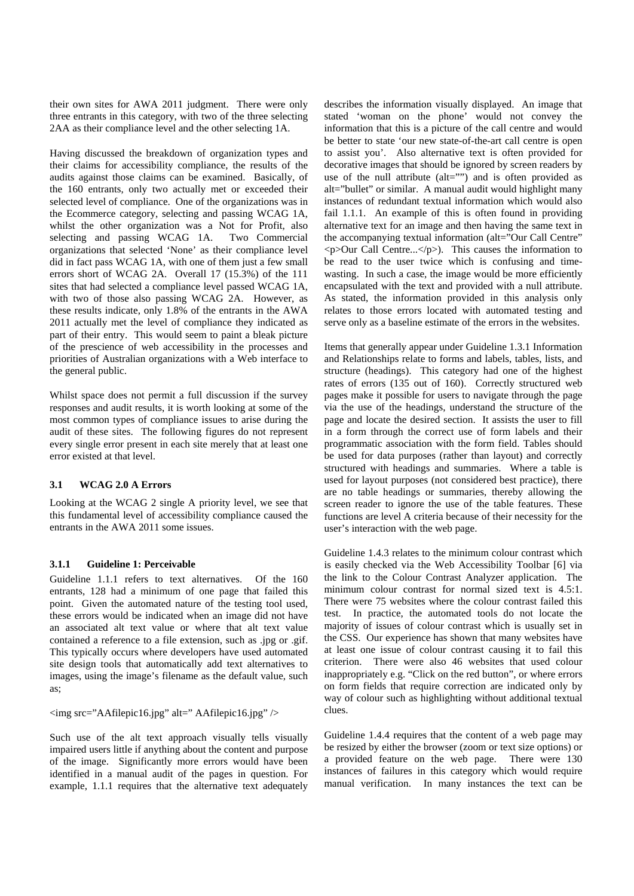their own sites for AWA 2011 judgment. There were only three entrants in this category, with two of the three selecting 2AA as their compliance level and the other selecting 1A.

Having discussed the breakdown of organization types and their claims for accessibility compliance, the results of the audits against those claims can be examined. Basically, of the 160 entrants, only two actually met or exceeded their selected level of compliance. One of the organizations was in the Ecommerce category, selecting and passing WCAG 1A, whilst the other organization was a Not for Profit, also selecting and passing WCAG 1A. Two Commercial organizations that selected 'None' as their compliance level did in fact pass WCAG 1A, with one of them just a few small errors short of WCAG 2A. Overall 17 (15.3%) of the 111 sites that had selected a compliance level passed WCAG 1A, with two of those also passing WCAG 2A. However, as these results indicate, only 1.8% of the entrants in the AWA 2011 actually met the level of compliance they indicated as part of their entry. This would seem to paint a bleak picture of the prescience of web accessibility in the processes and priorities of Australian organizations with a Web interface to the general public.

Whilst space does not permit a full discussion if the survey responses and audit results, it is worth looking at some of the most common types of compliance issues to arise during the audit of these sites. The following figures do not represent every single error present in each site merely that at least one error existed at that level.

#### **3.1 WCAG 2.0 A Errors**

Looking at the WCAG 2 single A priority level, we see that this fundamental level of accessibility compliance caused the entrants in the AWA 2011 some issues.

#### **3.1.1 Guideline 1: Perceivable**

Guideline 1.1.1 refers to text alternatives. Of the 160 entrants, 128 had a minimum of one page that failed this point. Given the automated nature of the testing tool used, these errors would be indicated when an image did not have an associated alt text value or where that alt text value contained a reference to a file extension, such as .jpg or .gif. This typically occurs where developers have used automated site design tools that automatically add text alternatives to images, using the image's filename as the default value, such as;

 $\langle$ img src="AAfilepic16.jpg" alt=" AAfilepic16.jpg" />

Such use of the alt text approach visually tells visually impaired users little if anything about the content and purpose of the image. Significantly more errors would have been identified in a manual audit of the pages in question. For example, 1.1.1 requires that the alternative text adequately describes the information visually displayed. An image that stated 'woman on the phone' would not convey the information that this is a picture of the call centre and would be better to state 'our new state-of-the-art call centre is open to assist you'. Also alternative text is often provided for decorative images that should be ignored by screen readers by use of the null attribute (alt="") and is often provided as alt="bullet" or similar. A manual audit would highlight many instances of redundant textual information which would also fail 1.1.1. An example of this is often found in providing alternative text for an image and then having the same text in the accompanying textual information (alt="Our Call Centre"  $\langle p$ >Our Call Centre... $\langle p \rangle$ ). This causes the information to be read to the user twice which is confusing and timewasting. In such a case, the image would be more efficiently encapsulated with the text and provided with a null attribute. As stated, the information provided in this analysis only relates to those errors located with automated testing and serve only as a baseline estimate of the errors in the websites.

Items that generally appear under Guideline 1.3.1 Information and Relationships relate to forms and labels, tables, lists, and structure (headings). This category had one of the highest rates of errors (135 out of 160). Correctly structured web pages make it possible for users to navigate through the page via the use of the headings, understand the structure of the page and locate the desired section. It assists the user to fill in a form through the correct use of form labels and their programmatic association with the form field. Tables should be used for data purposes (rather than layout) and correctly structured with headings and summaries. Where a table is used for layout purposes (not considered best practice), there are no table headings or summaries, thereby allowing the screen reader to ignore the use of the table features. These functions are level A criteria because of their necessity for the user's interaction with the web page.

Guideline 1.4.3 relates to the minimum colour contrast which is easily checked via the Web Accessibility Toolbar [6] via the link to the Colour Contrast Analyzer application. The minimum colour contrast for normal sized text is 4.5:1. There were 75 websites where the colour contrast failed this test. In practice, the automated tools do not locate the majority of issues of colour contrast which is usually set in the CSS. Our experience has shown that many websites have at least one issue of colour contrast causing it to fail this criterion. There were also 46 websites that used colour inappropriately e.g. "Click on the red button", or where errors on form fields that require correction are indicated only by way of colour such as highlighting without additional textual clues.

Guideline 1.4.4 requires that the content of a web page may be resized by either the browser (zoom or text size options) or a provided feature on the web page. There were 130 instances of failures in this category which would require manual verification. In many instances the text can be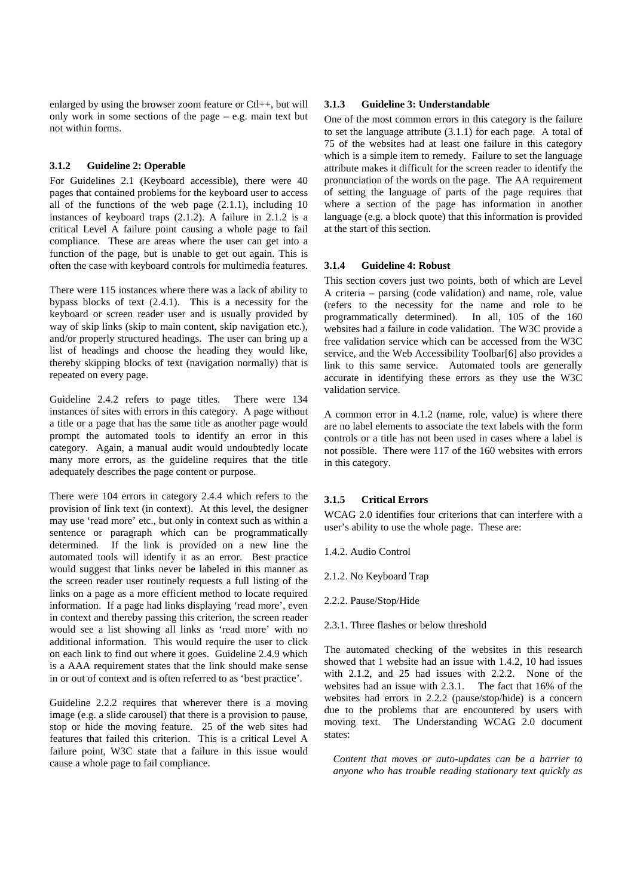enlarged by using the browser zoom feature or Ctl++, but will only work in some sections of the page – e.g. main text but not within forms.

#### **3.1.2 Guideline 2: Operable**

For Guidelines 2.1 (Keyboard accessible), there were 40 pages that contained problems for the keyboard user to access all of the functions of the web page (2.1.1), including 10 instances of keyboard traps (2.1.2). A failure in 2.1.2 is a critical Level A failure point causing a whole page to fail compliance. These are areas where the user can get into a function of the page, but is unable to get out again. This is often the case with keyboard controls for multimedia features.

There were 115 instances where there was a lack of ability to bypass blocks of text (2.4.1). This is a necessity for the keyboard or screen reader user and is usually provided by way of skip links (skip to main content, skip navigation etc.), and/or properly structured headings. The user can bring up a list of headings and choose the heading they would like, thereby skipping blocks of text (navigation normally) that is repeated on every page.

Guideline 2.4.2 refers to page titles. There were 134 instances of sites with errors in this category. A page without a title or a page that has the same title as another page would prompt the automated tools to identify an error in this category. Again, a manual audit would undoubtedly locate many more errors, as the guideline requires that the title adequately describes the page content or purpose.

There were 104 errors in category 2.4.4 which refers to the provision of link text (in context). At this level, the designer may use 'read more' etc., but only in context such as within a sentence or paragraph which can be programmatically determined. If the link is provided on a new line the automated tools will identify it as an error. Best practice would suggest that links never be labeled in this manner as the screen reader user routinely requests a full listing of the links on a page as a more efficient method to locate required information. If a page had links displaying 'read more', even in context and thereby passing this criterion, the screen reader would see a list showing all links as 'read more' with no additional information. This would require the user to click on each link to find out where it goes. Guideline 2.4.9 which is a AAA requirement states that the link should make sense in or out of context and is often referred to as 'best practice'.

Guideline 2.2.2 requires that wherever there is a moving image (e.g. a slide carousel) that there is a provision to pause, stop or hide the moving feature. 25 of the web sites had features that failed this criterion. This is a critical Level A failure point, W3C state that a failure in this issue would cause a whole page to fail compliance.

#### **3.1.3 Guideline 3: Understandable**

One of the most common errors in this category is the failure to set the language attribute (3.1.1) for each page. A total of 75 of the websites had at least one failure in this category which is a simple item to remedy. Failure to set the language attribute makes it difficult for the screen reader to identify the pronunciation of the words on the page. The AA requirement of setting the language of parts of the page requires that where a section of the page has information in another language (e.g. a block quote) that this information is provided at the start of this section.

#### **3.1.4 Guideline 4: Robust**

This section covers just two points, both of which are Level A criteria – parsing (code validation) and name, role, value (refers to the necessity for the name and role to be programmatically determined). In all, 105 of the 160 websites had a failure in code validation. The W3C provide a free validation service which can be accessed from the W3C service, and the Web Accessibility Toolbar[6] also provides a link to this same service. Automated tools are generally accurate in identifying these errors as they use the W3C validation service.

A common error in 4.1.2 (name, role, value) is where there are no label elements to associate the text labels with the form controls or a title has not been used in cases where a label is not possible. There were 117 of the 160 websites with errors in this category.

#### **3.1.5 Critical Errors**

WCAG 2.0 identifies four criterions that can interfere with a user's ability to use the whole page. These are:

- 1.4.2. Audio Control
- 2.1.2. No Keyboard Trap
- 2.2.2. Pause/Stop/Hide
- 2.3.1. Three flashes or below threshold

The automated checking of the websites in this research showed that 1 website had an issue with 1.4.2, 10 had issues with 2.1.2, and 25 had issues with 2.2.2. None of the websites had an issue with 2.3.1. The fact that 16% of the websites had errors in 2.2.2 (pause/stop/hide) is a concern due to the problems that are encountered by users with moving text. The Understanding WCAG 2.0 document states:

*Content that moves or auto-updates can be a barrier to anyone who has trouble reading stationary text quickly as*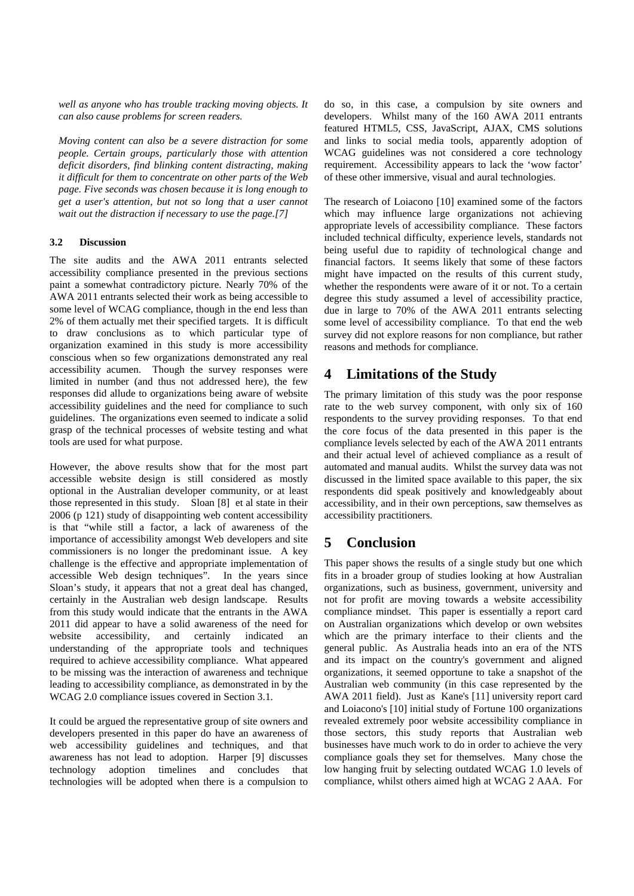*well as anyone who has trouble tracking moving objects. It can also cause problems for screen readers.* 

*Moving content can also be a severe distraction for some people. Certain groups, particularly those with attention deficit disorders, find blinking content distracting, making it difficult for them to concentrate on other parts of the Web page. Five seconds was chosen because it is long enough to get a user's attention, but not so long that a user cannot wait out the distraction if necessary to use the page.[7]*

#### **3.2 Discussion**

The site audits and the AWA 2011 entrants selected accessibility compliance presented in the previous sections paint a somewhat contradictory picture. Nearly 70% of the AWA 2011 entrants selected their work as being accessible to some level of WCAG compliance, though in the end less than 2% of them actually met their specified targets. It is difficult to draw conclusions as to which particular type of organization examined in this study is more accessibility conscious when so few organizations demonstrated any real accessibility acumen. Though the survey responses were limited in number (and thus not addressed here), the few responses did allude to organizations being aware of website accessibility guidelines and the need for compliance to such guidelines. The organizations even seemed to indicate a solid grasp of the technical processes of website testing and what tools are used for what purpose.

However, the above results show that for the most part accessible website design is still considered as mostly optional in the Australian developer community, or at least those represented in this study. Sloan [8] et al state in their 2006 (p 121) study of disappointing web content accessibility is that "while still a factor, a lack of awareness of the importance of accessibility amongst Web developers and site commissioners is no longer the predominant issue. A key challenge is the effective and appropriate implementation of accessible Web design techniques". In the years since Sloan's study, it appears that not a great deal has changed, certainly in the Australian web design landscape. Results from this study would indicate that the entrants in the AWA 2011 did appear to have a solid awareness of the need for website accessibility, and certainly indicated an understanding of the appropriate tools and techniques required to achieve accessibility compliance. What appeared to be missing was the interaction of awareness and technique leading to accessibility compliance, as demonstrated in by the WCAG 2.0 compliance issues covered in Section 3.1.

It could be argued the representative group of site owners and developers presented in this paper do have an awareness of web accessibility guidelines and techniques, and that awareness has not lead to adoption. Harper [9] discusses technology adoption timelines and concludes that technologies will be adopted when there is a compulsion to do so, in this case, a compulsion by site owners and developers. Whilst many of the 160 AWA 2011 entrants featured HTML5, CSS, JavaScript, AJAX, CMS solutions and links to social media tools, apparently adoption of WCAG guidelines was not considered a core technology requirement. Accessibility appears to lack the 'wow factor' of these other immersive, visual and aural technologies.

The research of Loiacono [10] examined some of the factors which may influence large organizations not achieving appropriate levels of accessibility compliance. These factors included technical difficulty, experience levels, standards not being useful due to rapidity of technological change and financial factors. It seems likely that some of these factors might have impacted on the results of this current study, whether the respondents were aware of it or not. To a certain degree this study assumed a level of accessibility practice, due in large to 70% of the AWA 2011 entrants selecting some level of accessibility compliance. To that end the web survey did not explore reasons for non compliance, but rather reasons and methods for compliance.

## **4 Limitations of the Study**

The primary limitation of this study was the poor response rate to the web survey component, with only six of 160 respondents to the survey providing responses. To that end the core focus of the data presented in this paper is the compliance levels selected by each of the AWA 2011 entrants and their actual level of achieved compliance as a result of automated and manual audits. Whilst the survey data was not discussed in the limited space available to this paper, the six respondents did speak positively and knowledgeably about accessibility, and in their own perceptions, saw themselves as accessibility practitioners.

## **5 Conclusion**

This paper shows the results of a single study but one which fits in a broader group of studies looking at how Australian organizations, such as business, government, university and not for profit are moving towards a website accessibility compliance mindset. This paper is essentially a report card on Australian organizations which develop or own websites which are the primary interface to their clients and the general public. As Australia heads into an era of the NTS and its impact on the country's government and aligned organizations, it seemed opportune to take a snapshot of the Australian web community (in this case represented by the AWA 2011 field). Just as Kane's [11] university report card and Loiacono's [10] initial study of Fortune 100 organizations revealed extremely poor website accessibility compliance in those sectors, this study reports that Australian web businesses have much work to do in order to achieve the very compliance goals they set for themselves. Many chose the low hanging fruit by selecting outdated WCAG 1.0 levels of compliance, whilst others aimed high at WCAG 2 AAA. For